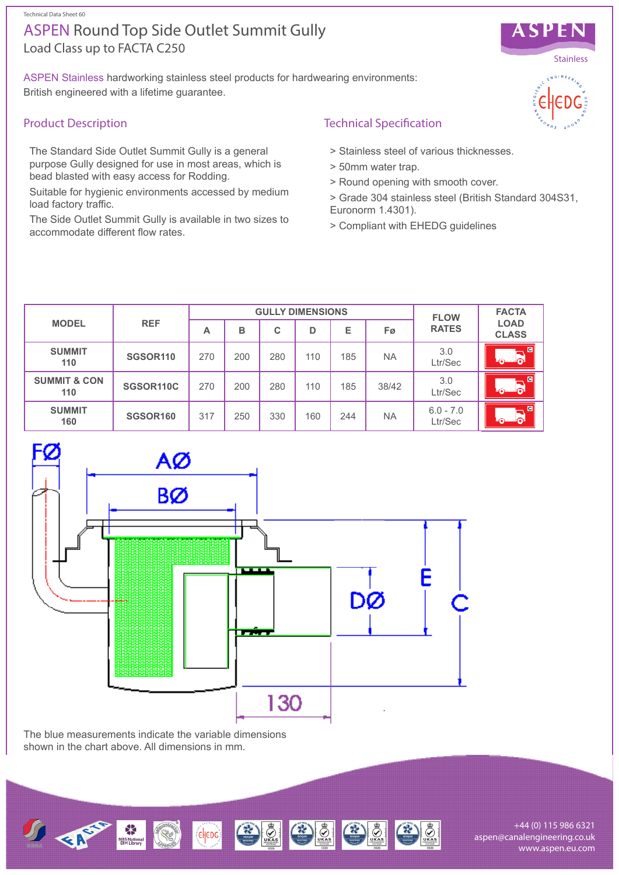Technical Data Sheet 60

# Load Class up to FACTA C250 ASPEN Round Top Side Outlet Summit Gully

ASPEN Stainless hardworking stainless steel products for hardwearing environments: British engineered with a lifetime guarantee.

## Product Description

The Standard Side Outlet Summit Gully is a general purpose Gully designed for use in most areas, which is bead blasted with easy access for Rodding.

Suitable for hygienic environments accessed by medium load factory traffic.

The Side Outlet Summit Gully is available in two sizes to accommodate different flow rates.

## Technical Specification

- > Stainless steel of various thicknesses.
- > 50mm water trap.
- > Round opening with smooth cover.
- > Grade 304 stainless steel (British Standard 304S31, Euronorm 1.4301).
- > Compliant with EHEDG guidelines

| <b>MODEL</b>                   | <b>REF</b>           | <b>GULLY DIMENSIONS</b> |     |     |     |     |           | <b>FLOW</b>            | <b>FACTA</b>                |
|--------------------------------|----------------------|-------------------------|-----|-----|-----|-----|-----------|------------------------|-----------------------------|
|                                |                      | А                       | в   | C   | D   | Е   | Fø        | <b>RATES</b>           | <b>LOAD</b><br><b>CLASS</b> |
| <b>SUMMIT</b><br>110           | SGSOR <sub>110</sub> | 270                     | 200 | 280 | 110 | 185 | <b>NA</b> | 3.0<br>Ltr/Sec         |                             |
| <b>SUMMIT &amp; CON</b><br>110 | SGSOR110C            | 270                     | 200 | 280 | 110 | 185 | 38/42     | 3.0<br>Ltr/Sec         |                             |
| <b>SUMMIT</b><br>160           | <b>SGSOR160</b>      | 317                     | 250 | 330 | 160 | 244 | <b>NA</b> | $6.0 - 7.0$<br>Ltr/Sec |                             |



The blue measurements indicate the variable dimensions shown in the chart above. All dimensions in mm.



+44 (0) 115 986 6321 aspen@canalengineering.co.uk www.aspen.eu.com



ASPEN